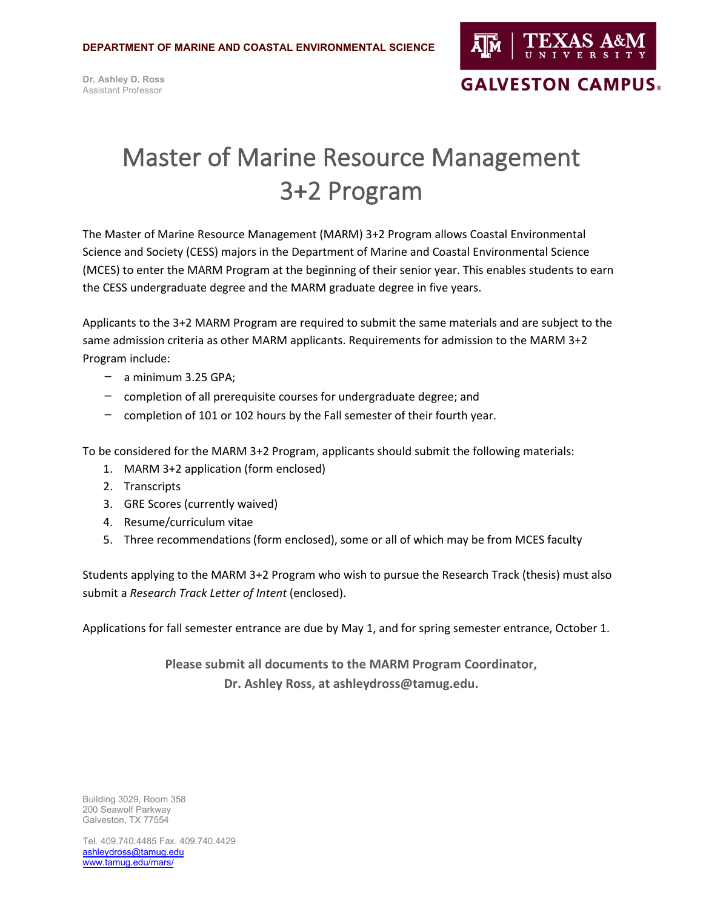#### **GALVESTON CAMPUS.**

### Master of Marine Resource Management 3+2 Program

The Master of Marine Resource Management (MARM) 3+2 Program allows Coastal Environmental Science and Society (CESS) majors in the Department of Marine and Coastal Environmental Science (MCES) to enter the MARM Program at the beginning of their senior year. This enables students to earn the CESS undergraduate degree and the MARM graduate degree in five years.

Applicants to the 3+2 MARM Program are required to submit the same materials and are subject to the same admission criteria as other MARM applicants. Requirements for admission to the MARM 3+2 Program include:

- $-$  a minimum 3.25 GPA;
- completion of all prerequisite courses for undergraduate degree; and
- completion of 101 or 102 hours by the Fall semester of their fourth year.

To be considered for the MARM 3+2 Program, applicants should submit the following materials:

- 1. MARM 3+2 application (form enclosed)
- 2. Transcripts
- 3. GRE Scores (currently waived)
- 4. Resume/curriculum vitae
- 5. Three recommendations (form enclosed), some or all of which may be from MCES faculty

Students applying to the MARM 3+2 Program who wish to pursue the Research Track (thesis) must also submit a *Research Track Letter of Intent* (enclosed).

Applications for fall semester entrance are due by May 1, and for spring semester entrance, October 1.

**Please submit all documents to the MARM Program Coordinator, Dr. Ashley Ross, at ashleydross@tamug.edu.**

Building 3029, Room 358 200 Seawolf Parkway Galveston, TX 77554

Tel. 409.740.4485 Fax. 409.740.4429 [ashleydross@tamug.edu](mailto:ashleydross@tamug.edu) [www.tamug.edu/mars](https://www.tamug.edu/mars/)/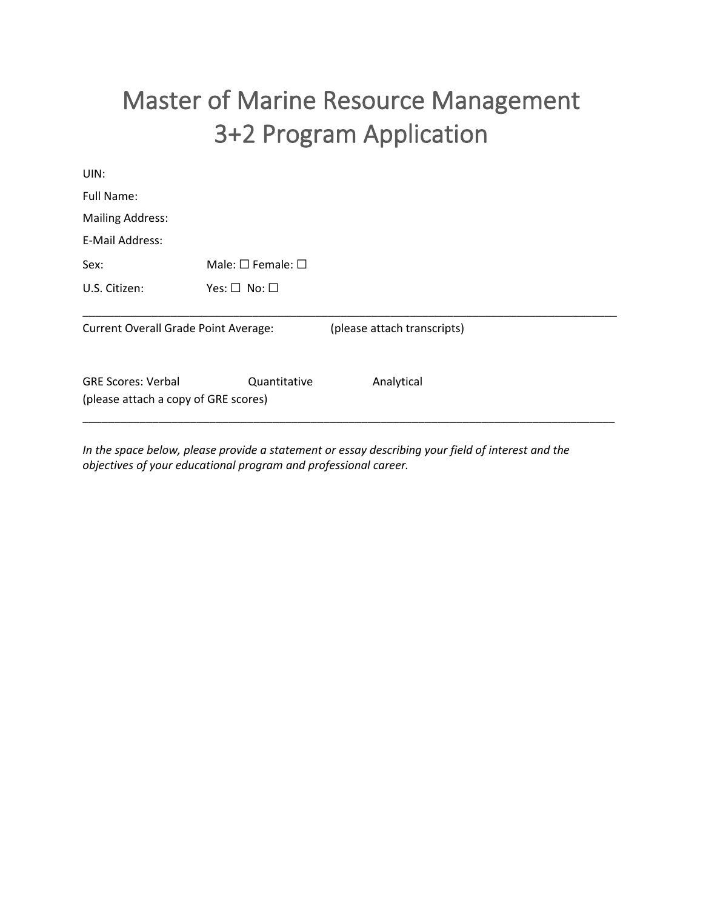## Master of Marine Resource Management 3+2 Program Application

| UIN:                                          |              |                             |  |  |  |  |
|-----------------------------------------------|--------------|-----------------------------|--|--|--|--|
| Full Name:                                    |              |                             |  |  |  |  |
| <b>Mailing Address:</b>                       |              |                             |  |  |  |  |
| E-Mail Address:                               |              |                             |  |  |  |  |
| Male: $\square$ Female: $\square$<br>Sex:     |              |                             |  |  |  |  |
| U.S. Citizen:<br>Yes: $\square$ No: $\square$ |              |                             |  |  |  |  |
| <b>Current Overall Grade Point Average:</b>   |              | (please attach transcripts) |  |  |  |  |
| <b>GRE Scores: Verbal</b>                     | Quantitative | Analytical                  |  |  |  |  |
| (please attach a copy of GRE scores)          |              |                             |  |  |  |  |
|                                               |              |                             |  |  |  |  |
|                                               |              |                             |  |  |  |  |

*In the space below, please provide a statement or essay describing your field of interest and the objectives of your educational program and professional career.*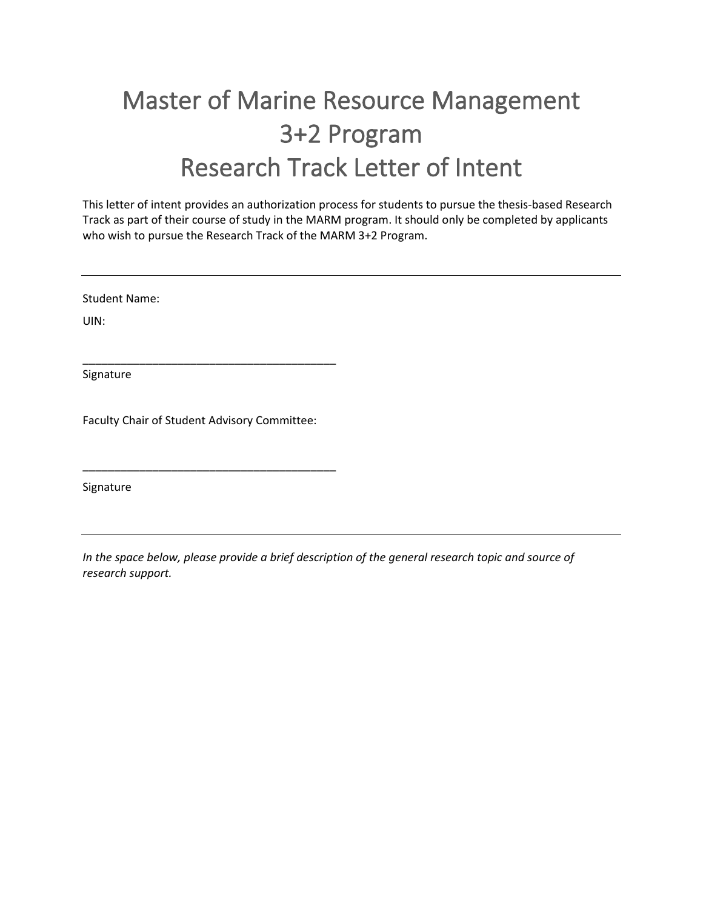# Master of Marine Resource Management 3+2 Program Research Track Letter of Intent

This letter of intent provides an authorization process for students to pursue the thesis-based Research Track as part of their course of study in the MARM program. It should only be completed by applicants who wish to pursue the Research Track of the MARM 3+2 Program.

Student Name:

UIN:

Signature

Faculty Chair of Student Advisory Committee:

\_\_\_\_\_\_\_\_\_\_\_\_\_\_\_\_\_\_\_\_\_\_\_\_\_\_\_\_\_\_\_\_\_\_\_\_\_\_\_\_

\_\_\_\_\_\_\_\_\_\_\_\_\_\_\_\_\_\_\_\_\_\_\_\_\_\_\_\_\_\_\_\_\_\_\_\_\_\_\_\_

Signature

*In the space below, please provide a brief description of the general research topic and source of research support.*